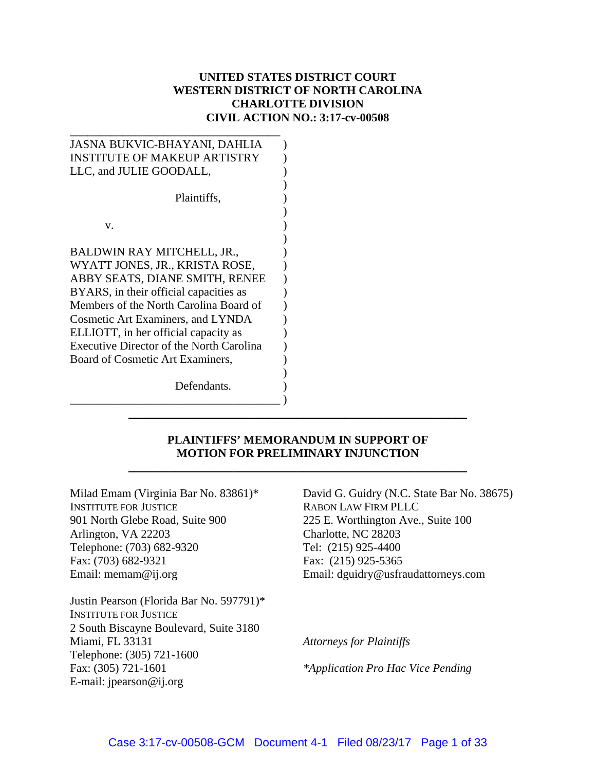## **UNITED STATES DISTRICT COURT WESTERN DISTRICT OF NORTH CAROLINA CHARLOTTE DIVISION CIVIL ACTION NO.: 3:17-cv-00508**

| JASNA BUKVIC-BHAYANI, DAHLIA                    |
|-------------------------------------------------|
| <b>INSTITUTE OF MAKEUP ARTISTRY</b>             |
| LLC, and JULIE GOODALL,                         |
|                                                 |
| Plaintiffs,                                     |
|                                                 |
| V.                                              |
|                                                 |
| BALDWIN RAY MITCHELL, JR.,                      |
| WYATT JONES, JR., KRISTA ROSE,                  |
| ABBY SEATS, DIANE SMITH, RENEE                  |
| BYARS, in their official capacities as          |
| Members of the North Carolina Board of          |
| <b>Cosmetic Art Examiners, and LYNDA</b>        |
| ELLIOTT, in her official capacity as            |
| <b>Executive Director of the North Carolina</b> |
| Board of Cosmetic Art Examiners,                |
|                                                 |
| Defendants.                                     |
|                                                 |

#### **PLAINTIFFS' MEMORANDUM IN SUPPORT OF MOTION FOR PRELIMINARY INJUNCTION**

\_\_\_\_\_\_\_\_\_\_\_\_\_\_\_\_\_\_\_\_\_\_\_\_\_\_\_\_\_\_\_\_\_\_\_\_\_\_\_\_\_\_\_\_\_\_\_\_\_\_\_\_\_\_\_\_\_\_

\_\_\_\_\_\_\_\_\_\_\_\_\_\_\_\_\_\_\_\_\_\_\_\_\_\_\_\_\_\_\_\_\_\_\_\_\_\_\_\_\_\_\_\_\_\_\_\_\_\_\_\_\_\_\_\_\_\_

Milad Emam (Virginia Bar No. 83861)\* INSTITUTE FOR JUSTICE 901 North Glebe Road, Suite 900 Arlington, VA 22203 Telephone: (703) 682-9320 Fax: (703) 682-9321 Email: memam@ij.org

Justin Pearson (Florida Bar No. 597791)\* INSTITUTE FOR JUSTICE 2 South Biscayne Boulevard, Suite 3180 Miami, FL 33131 Telephone: (305) 721-1600 Fax: (305) 721-1601 E-mail: jpearson@ij.org

David G. Guidry (N.C. State Bar No. 38675) RABON LAW FIRM PLLC 225 E. Worthington Ave., Suite 100 Charlotte, NC 28203 Tel: (215) 925-4400 Fax: (215) 925-5365 Email: dguidry@usfraudattorneys.com

*Attorneys for Plaintiffs* 

*\*Application Pro Hac Vice Pending*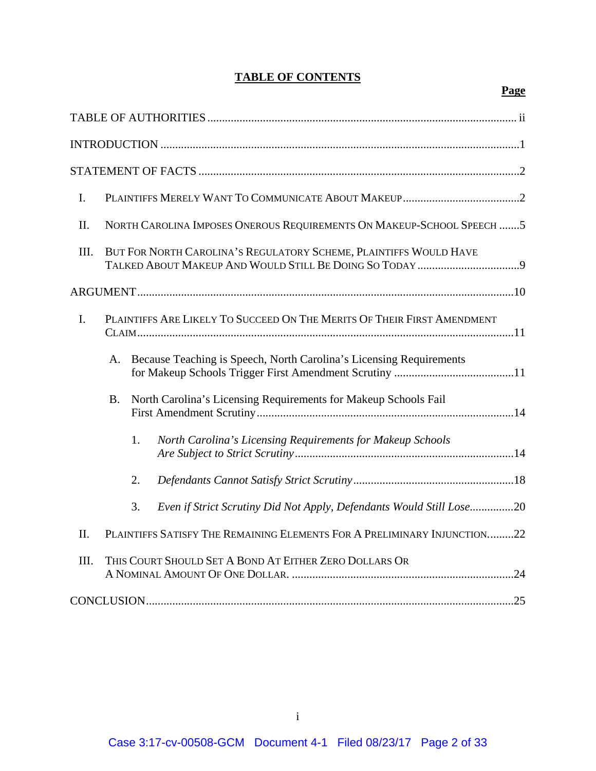# **TABLE OF CONTENTS**

## **Page**

| I.   |                                                                         |    |                                                                          |  |
|------|-------------------------------------------------------------------------|----|--------------------------------------------------------------------------|--|
| II.  | NORTH CAROLINA IMPOSES ONEROUS REQUIREMENTS ON MAKEUP-SCHOOL SPEECH 5   |    |                                                                          |  |
| III. | BUT FOR NORTH CAROLINA'S REGULATORY SCHEME, PLAINTIFFS WOULD HAVE       |    |                                                                          |  |
|      |                                                                         |    |                                                                          |  |
| I.   | PLAINTIFFS ARE LIKELY TO SUCCEED ON THE MERITS OF THEIR FIRST AMENDMENT |    |                                                                          |  |
|      | A.                                                                      |    | Because Teaching is Speech, North Carolina's Licensing Requirements      |  |
|      | <b>B.</b>                                                               |    | North Carolina's Licensing Requirements for Makeup Schools Fail          |  |
|      |                                                                         | 1. | North Carolina's Licensing Requirements for Makeup Schools               |  |
|      |                                                                         | 2. |                                                                          |  |
|      |                                                                         | 3. | Even if Strict Scrutiny Did Not Apply, Defendants Would Still Lose20     |  |
| II.  |                                                                         |    | PLAINTIFFS SATISFY THE REMAINING ELEMENTS FOR A PRELIMINARY INJUNCTION22 |  |
| III. |                                                                         |    | THIS COURT SHOULD SET A BOND AT EITHER ZERO DOLLARS OR                   |  |
|      |                                                                         |    |                                                                          |  |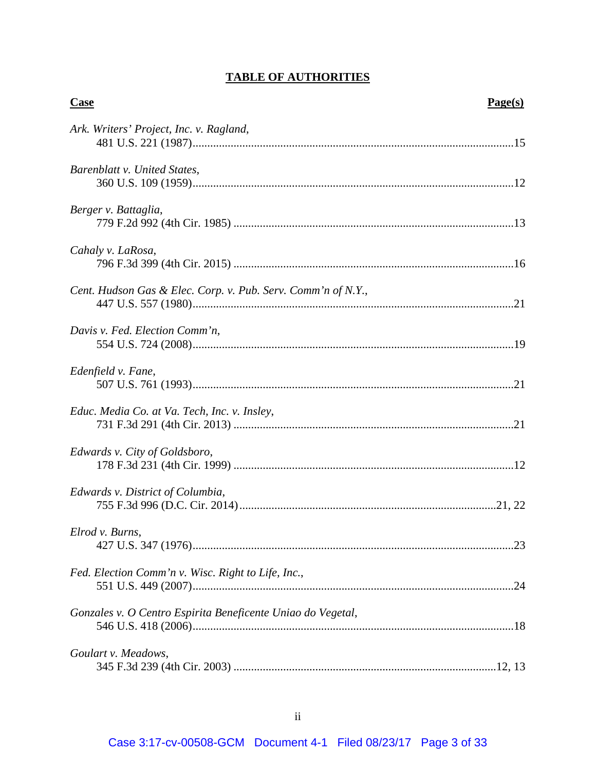# **TABLE OF AUTHORITIES**

| <b>Case</b>                                                  | Page(s) |
|--------------------------------------------------------------|---------|
| Ark. Writers' Project, Inc. v. Ragland,                      |         |
| Barenblatt v. United States,                                 |         |
| Berger v. Battaglia,                                         |         |
| Cahaly v. LaRosa,                                            |         |
| Cent. Hudson Gas & Elec. Corp. v. Pub. Serv. Comm'n of N.Y., |         |
| Davis v. Fed. Election Comm'n,                               |         |
| Edenfield v. Fane,                                           |         |
| Educ. Media Co. at Va. Tech, Inc. v. Insley,                 |         |
| Edwards v. City of Goldsboro,                                |         |
| Edwards v. District of Columbia,                             |         |
| Elrod v. Burns,                                              |         |
| Fed. Election Comm'n v. Wisc. Right to Life, Inc.,           |         |
| Gonzales v. O Centro Espirita Beneficente Uniao do Vegetal,  |         |
| Goulart v. Meadows,                                          |         |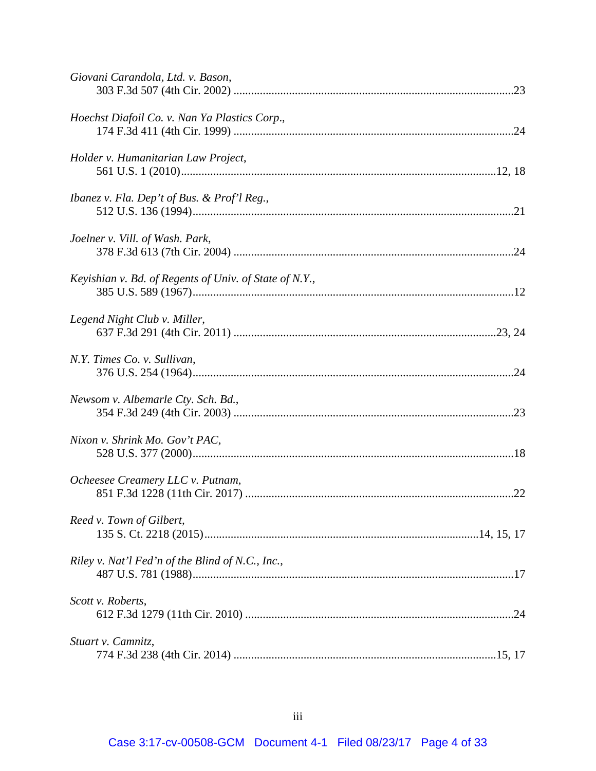| Giovani Carandola, Ltd. v. Bason,                      |  |
|--------------------------------------------------------|--|
| Hoechst Diafoil Co. v. Nan Ya Plastics Corp.,          |  |
| Holder v. Humanitarian Law Project,                    |  |
| Ibanez v. Fla. Dep't of Bus. & Prof'l Reg.,            |  |
| Joelner v. Vill. of Wash. Park,                        |  |
| Keyishian v. Bd. of Regents of Univ. of State of N.Y., |  |
| Legend Night Club v. Miller,                           |  |
| N.Y. Times Co. v. Sullivan,                            |  |
| Newsom v. Albemarle Cty. Sch. Bd.,                     |  |
| Nixon v. Shrink Mo. Gov't PAC,                         |  |
| Ocheesee Creamery LLC v. Putnam,                       |  |
| Reed v. Town of Gilbert,                               |  |
| Riley v. Nat'l Fed'n of the Blind of N.C., Inc.,       |  |
| Scott v. Roberts,                                      |  |
| Stuart v. Camnitz,                                     |  |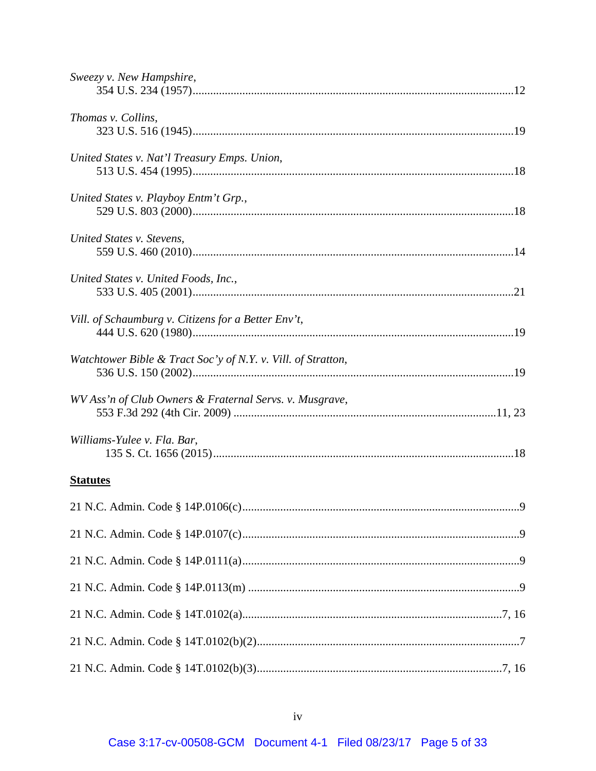| Sweezy v. New Hampshire,                                     |
|--------------------------------------------------------------|
| Thomas v. Collins,                                           |
| United States v. Nat'l Treasury Emps. Union,                 |
| United States v. Playboy Entm't Grp.,                        |
| United States v. Stevens,                                    |
| United States v. United Foods, Inc.,                         |
| Vill. of Schaumburg v. Citizens for a Better Env't,          |
| Watchtower Bible & Tract Soc'y of N.Y. v. Vill. of Stratton, |
| WV Ass'n of Club Owners & Fraternal Servs. v. Musgrave,      |
| Williams-Yulee v. Fla. Bar,                                  |
| <b>Statutes</b>                                              |
| 9                                                            |
|                                                              |
|                                                              |
|                                                              |
|                                                              |
|                                                              |
|                                                              |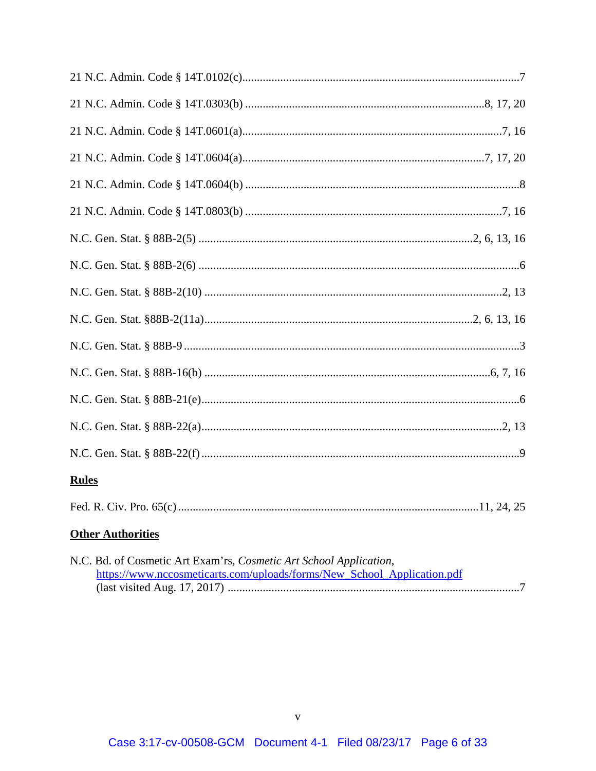| <b>Rules</b>                                                                                                                                                                                                                                                                                          |  |
|-------------------------------------------------------------------------------------------------------------------------------------------------------------------------------------------------------------------------------------------------------------------------------------------------------|--|
|                                                                                                                                                                                                                                                                                                       |  |
| <b>Other Authorities</b>                                                                                                                                                                                                                                                                              |  |
| $\mathbf{M} \cap \mathbf{D}$ of $\mathbf{C}$ consider $\mathbf{A}$ at $\mathbf{D}$ can be $\mathbf{C}$ and $\mathbf{C}$ and $\mathbf{C}$ and $\mathbf{A}$ and $\mathbf{C}$ and $\mathbf{C}$ and $\mathbf{C}$ and $\mathbf{C}$ and $\mathbf{C}$ and $\mathbf{C}$ and $\mathbf{C}$ and $\mathbf{C}$ and |  |

| N.C. Bd. of Cosmetic Art Exam'rs, Cosmetic Art School Application,      |
|-------------------------------------------------------------------------|
| https://www.nccosmeticarts.com/uploads/forms/New_School_Application.pdf |
|                                                                         |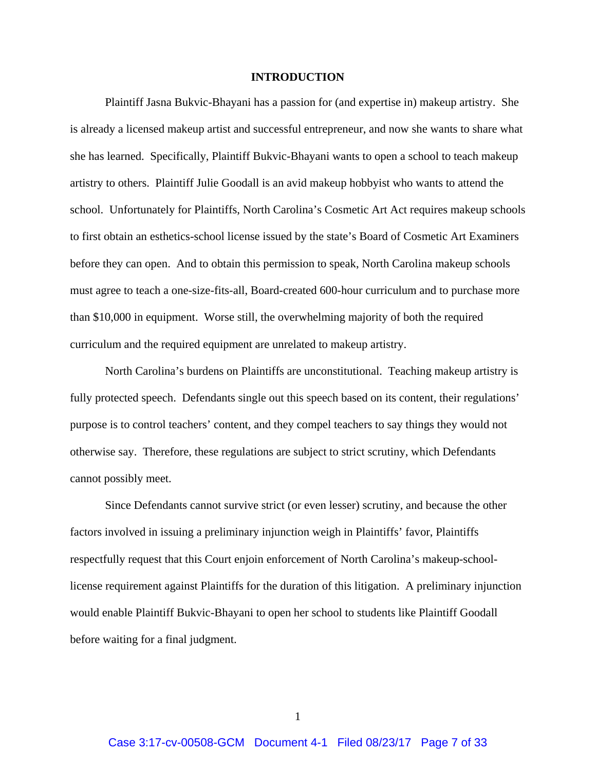#### **INTRODUCTION**

 Plaintiff Jasna Bukvic-Bhayani has a passion for (and expertise in) makeup artistry. She is already a licensed makeup artist and successful entrepreneur, and now she wants to share what she has learned. Specifically, Plaintiff Bukvic-Bhayani wants to open a school to teach makeup artistry to others. Plaintiff Julie Goodall is an avid makeup hobbyist who wants to attend the school. Unfortunately for Plaintiffs, North Carolina's Cosmetic Art Act requires makeup schools to first obtain an esthetics-school license issued by the state's Board of Cosmetic Art Examiners before they can open. And to obtain this permission to speak, North Carolina makeup schools must agree to teach a one-size-fits-all, Board-created 600-hour curriculum and to purchase more than \$10,000 in equipment. Worse still, the overwhelming majority of both the required curriculum and the required equipment are unrelated to makeup artistry.

 North Carolina's burdens on Plaintiffs are unconstitutional. Teaching makeup artistry is fully protected speech. Defendants single out this speech based on its content, their regulations' purpose is to control teachers' content, and they compel teachers to say things they would not otherwise say. Therefore, these regulations are subject to strict scrutiny, which Defendants cannot possibly meet.

Since Defendants cannot survive strict (or even lesser) scrutiny, and because the other factors involved in issuing a preliminary injunction weigh in Plaintiffs' favor, Plaintiffs respectfully request that this Court enjoin enforcement of North Carolina's makeup-schoollicense requirement against Plaintiffs for the duration of this litigation. A preliminary injunction would enable Plaintiff Bukvic-Bhayani to open her school to students like Plaintiff Goodall before waiting for a final judgment.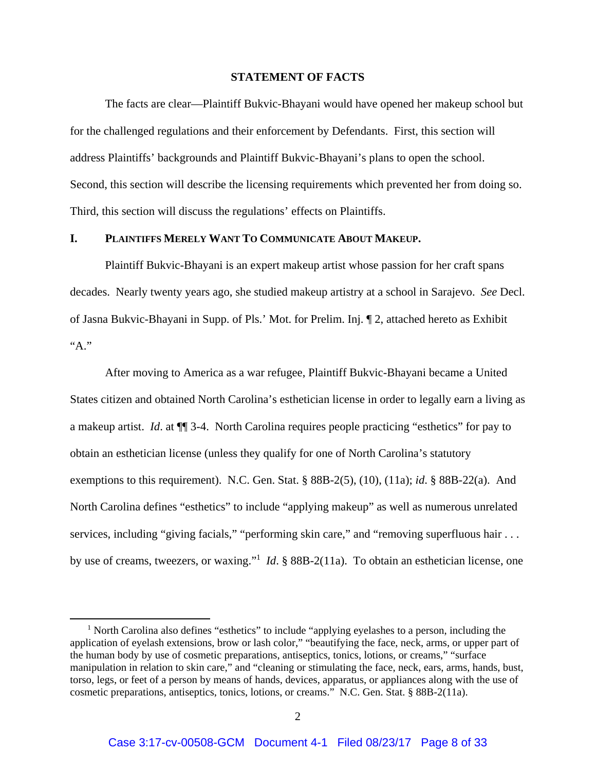#### **STATEMENT OF FACTS**

The facts are clear—Plaintiff Bukvic-Bhayani would have opened her makeup school but for the challenged regulations and their enforcement by Defendants. First, this section will address Plaintiffs' backgrounds and Plaintiff Bukvic-Bhayani's plans to open the school. Second, this section will describe the licensing requirements which prevented her from doing so. Third, this section will discuss the regulations' effects on Plaintiffs.

#### **I. PLAINTIFFS MERELY WANT TO COMMUNICATE ABOUT MAKEUP.**

 Plaintiff Bukvic-Bhayani is an expert makeup artist whose passion for her craft spans decades. Nearly twenty years ago, she studied makeup artistry at a school in Sarajevo. *See* Decl. of Jasna Bukvic-Bhayani in Supp. of Pls.' Mot. for Prelim. Inj. ¶ 2, attached hereto as Exhibit "А."

After moving to America as a war refugee, Plaintiff Bukvic-Bhayani became a United States citizen and obtained North Carolina's esthetician license in order to legally earn a living as a makeup artist. *Id*. at ¶¶ 3-4. North Carolina requires people practicing "esthetics" for pay to obtain an esthetician license (unless they qualify for one of North Carolina's statutory exemptions to this requirement). N.C. Gen. Stat. § 88B-2(5), (10), (11a); *id*. § 88B-22(a). And North Carolina defines "esthetics" to include "applying makeup" as well as numerous unrelated services, including "giving facials," "performing skin care," and "removing superfluous hair . . . by use of creams, tweezers, or waxing."1 *Id*. § 88B-2(11a). To obtain an esthetician license, one

<sup>&</sup>lt;sup>1</sup> North Carolina also defines "esthetics" to include "applying eyelashes to a person, including the application of eyelash extensions, brow or lash color," "beautifying the face, neck, arms, or upper part of the human body by use of cosmetic preparations, antiseptics, tonics, lotions, or creams," "surface manipulation in relation to skin care," and "cleaning or stimulating the face, neck, ears, arms, hands, bust, torso, legs, or feet of a person by means of hands, devices, apparatus, or appliances along with the use of cosmetic preparations, antiseptics, tonics, lotions, or creams." N.C. Gen. Stat. § 88B-2(11a).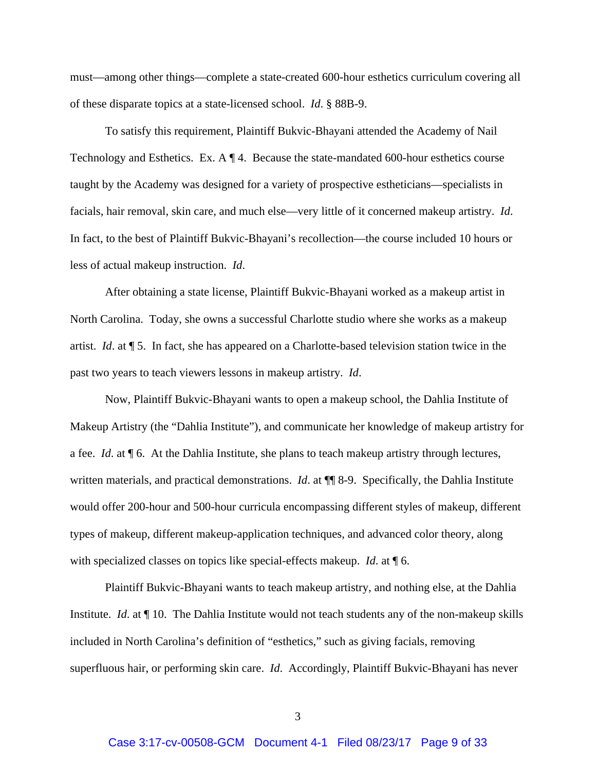must—among other things—complete a state-created 600-hour esthetics curriculum covering all of these disparate topics at a state-licensed school. *Id*. § 88B-9.

To satisfy this requirement, Plaintiff Bukvic-Bhayani attended the Academy of Nail Technology and Esthetics. Ex. A ¶ 4. Because the state-mandated 600-hour esthetics course taught by the Academy was designed for a variety of prospective estheticians—specialists in facials, hair removal, skin care, and much else—very little of it concerned makeup artistry. *Id*. In fact, to the best of Plaintiff Bukvic-Bhayani's recollection—the course included 10 hours or less of actual makeup instruction. *Id*.

After obtaining a state license, Plaintiff Bukvic-Bhayani worked as a makeup artist in North Carolina. Today, she owns a successful Charlotte studio where she works as a makeup artist. *Id*. at ¶ 5. In fact, she has appeared on a Charlotte-based television station twice in the past two years to teach viewers lessons in makeup artistry. *Id*.

Now, Plaintiff Bukvic-Bhayani wants to open a makeup school, the Dahlia Institute of Makeup Artistry (the "Dahlia Institute"), and communicate her knowledge of makeup artistry for a fee. *Id*. at ¶ 6. At the Dahlia Institute, she plans to teach makeup artistry through lectures, written materials, and practical demonstrations. *Id.* at  $\P$  8-9. Specifically, the Dahlia Institute would offer 200-hour and 500-hour curricula encompassing different styles of makeup, different types of makeup, different makeup-application techniques, and advanced color theory, along with specialized classes on topics like special-effects makeup. *Id*. at ¶ 6.

Plaintiff Bukvic-Bhayani wants to teach makeup artistry, and nothing else, at the Dahlia Institute. *Id*. at ¶ 10. The Dahlia Institute would not teach students any of the non-makeup skills included in North Carolina's definition of "esthetics," such as giving facials, removing superfluous hair, or performing skin care. *Id*. Accordingly, Plaintiff Bukvic-Bhayani has never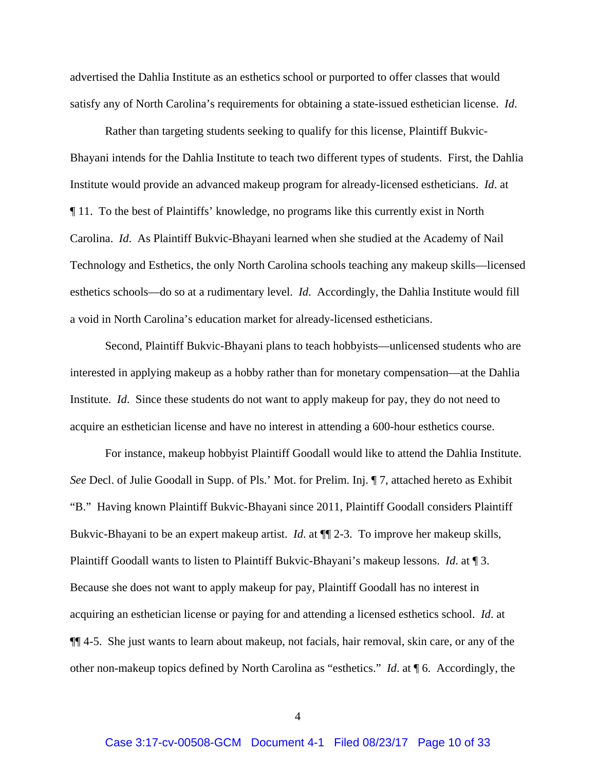advertised the Dahlia Institute as an esthetics school or purported to offer classes that would satisfy any of North Carolina's requirements for obtaining a state-issued esthetician license. *Id*.

Rather than targeting students seeking to qualify for this license, Plaintiff Bukvic-Bhayani intends for the Dahlia Institute to teach two different types of students. First, the Dahlia Institute would provide an advanced makeup program for already-licensed estheticians. *Id*. at ¶ 11. To the best of Plaintiffs' knowledge, no programs like this currently exist in North Carolina. *Id*. As Plaintiff Bukvic-Bhayani learned when she studied at the Academy of Nail Technology and Esthetics, the only North Carolina schools teaching any makeup skills—licensed esthetics schools—do so at a rudimentary level. *Id*. Accordingly, the Dahlia Institute would fill a void in North Carolina's education market for already-licensed estheticians.

Second, Plaintiff Bukvic-Bhayani plans to teach hobbyists—unlicensed students who are interested in applying makeup as a hobby rather than for monetary compensation—at the Dahlia Institute. *Id*. Since these students do not want to apply makeup for pay, they do not need to acquire an esthetician license and have no interest in attending a 600-hour esthetics course.

For instance, makeup hobbyist Plaintiff Goodall would like to attend the Dahlia Institute. *See* Decl. of Julie Goodall in Supp. of Pls.' Mot. for Prelim. Inj. ¶ 7, attached hereto as Exhibit "B." Having known Plaintiff Bukvic-Bhayani since 2011, Plaintiff Goodall considers Plaintiff Bukvic-Bhayani to be an expert makeup artist. *Id*. at ¶¶ 2-3. To improve her makeup skills, Plaintiff Goodall wants to listen to Plaintiff Bukvic-Bhayani's makeup lessons. *Id*. at ¶ 3. Because she does not want to apply makeup for pay, Plaintiff Goodall has no interest in acquiring an esthetician license or paying for and attending a licensed esthetics school. *Id*. at ¶¶ 4-5. She just wants to learn about makeup, not facials, hair removal, skin care, or any of the other non-makeup topics defined by North Carolina as "esthetics." *Id*. at ¶ 6. Accordingly, the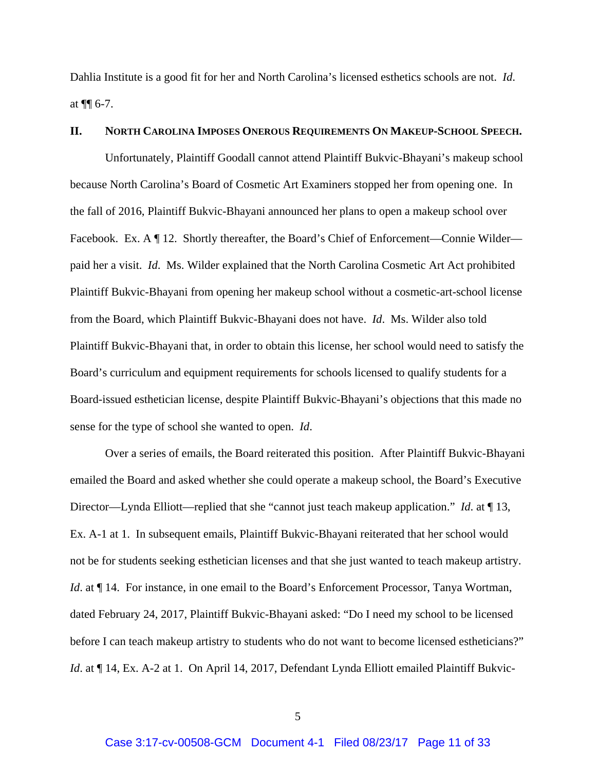Dahlia Institute is a good fit for her and North Carolina's licensed esthetics schools are not. *Id*. at  $\P\P$  6-7.

#### **II. NORTH CAROLINA IMPOSES ONEROUS REQUIREMENTS ON MAKEUP-SCHOOL SPEECH.**

Unfortunately, Plaintiff Goodall cannot attend Plaintiff Bukvic-Bhayani's makeup school because North Carolina's Board of Cosmetic Art Examiners stopped her from opening one. In the fall of 2016, Plaintiff Bukvic-Bhayani announced her plans to open a makeup school over Facebook. Ex. A  $\P$  12. Shortly thereafter, the Board's Chief of Enforcement—Connie Wilder paid her a visit. *Id*. Ms. Wilder explained that the North Carolina Cosmetic Art Act prohibited Plaintiff Bukvic-Bhayani from opening her makeup school without a cosmetic-art-school license from the Board, which Plaintiff Bukvic-Bhayani does not have. *Id*. Ms. Wilder also told Plaintiff Bukvic-Bhayani that, in order to obtain this license, her school would need to satisfy the Board's curriculum and equipment requirements for schools licensed to qualify students for a Board-issued esthetician license, despite Plaintiff Bukvic-Bhayani's objections that this made no sense for the type of school she wanted to open. *Id*.

Over a series of emails, the Board reiterated this position. After Plaintiff Bukvic-Bhayani emailed the Board and asked whether she could operate a makeup school, the Board's Executive Director—Lynda Elliott—replied that she "cannot just teach makeup application." *Id*. at ¶ 13, Ex. A-1 at 1. In subsequent emails, Plaintiff Bukvic-Bhayani reiterated that her school would not be for students seeking esthetician licenses and that she just wanted to teach makeup artistry. *Id.* at  $\P$  14. For instance, in one email to the Board's Enforcement Processor, Tanya Wortman, dated February 24, 2017, Plaintiff Bukvic-Bhayani asked: "Do I need my school to be licensed before I can teach makeup artistry to students who do not want to become licensed estheticians?" *Id.* at  $\P$  14, Ex. A-2 at 1. On April 14, 2017, Defendant Lynda Elliott emailed Plaintiff Bukvic-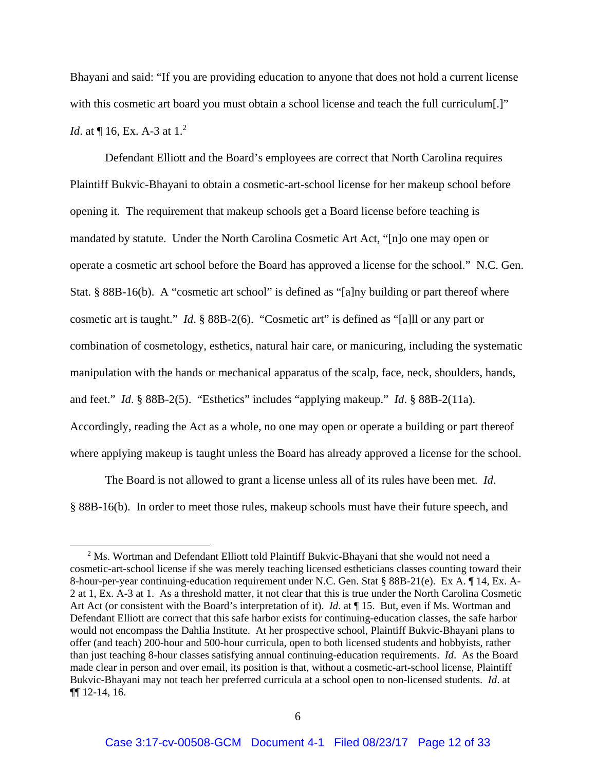Bhayani and said: "If you are providing education to anyone that does not hold a current license with this cosmetic art board you must obtain a school license and teach the full curriculum. *Id.* at  $\P$  16, Ex. A-3 at 1.<sup>2</sup>

Defendant Elliott and the Board's employees are correct that North Carolina requires Plaintiff Bukvic-Bhayani to obtain a cosmetic-art-school license for her makeup school before opening it. The requirement that makeup schools get a Board license before teaching is mandated by statute. Under the North Carolina Cosmetic Art Act, "[n]o one may open or operate a cosmetic art school before the Board has approved a license for the school." N.C. Gen. Stat. § 88B-16(b). A "cosmetic art school" is defined as "[a]ny building or part thereof where cosmetic art is taught." *Id*. § 88B-2(6). "Cosmetic art" is defined as "[a]ll or any part or combination of cosmetology, esthetics, natural hair care, or manicuring, including the systematic manipulation with the hands or mechanical apparatus of the scalp, face, neck, shoulders, hands, and feet." *Id*. § 88B-2(5). "Esthetics" includes "applying makeup." *Id*. § 88B-2(11a). Accordingly, reading the Act as a whole, no one may open or operate a building or part thereof where applying makeup is taught unless the Board has already approved a license for the school.

The Board is not allowed to grant a license unless all of its rules have been met. *Id*. § 88B-16(b). In order to meet those rules, makeup schools must have their future speech, and

 $2^2$  Ms. Wortman and Defendant Elliott told Plaintiff Bukvic-Bhayani that she would not need a cosmetic-art-school license if she was merely teaching licensed estheticians classes counting toward their 8-hour-per-year continuing-education requirement under N.C. Gen. Stat § 88B-21(e). Ex A. ¶ 14, Ex. A-2 at 1, Ex. A-3 at 1. As a threshold matter, it not clear that this is true under the North Carolina Cosmetic Art Act (or consistent with the Board's interpretation of it). *Id.* at ¶ 15. But, even if Ms. Wortman and Defendant Elliott are correct that this safe harbor exists for continuing-education classes, the safe harbor would not encompass the Dahlia Institute. At her prospective school, Plaintiff Bukvic-Bhayani plans to offer (and teach) 200-hour and 500-hour curricula, open to both licensed students and hobbyists, rather than just teaching 8-hour classes satisfying annual continuing-education requirements. *Id*. As the Board made clear in person and over email, its position is that, without a cosmetic-art-school license, Plaintiff Bukvic-Bhayani may not teach her preferred curricula at a school open to non-licensed students. *Id*. at ¶¶ 12-14, 16.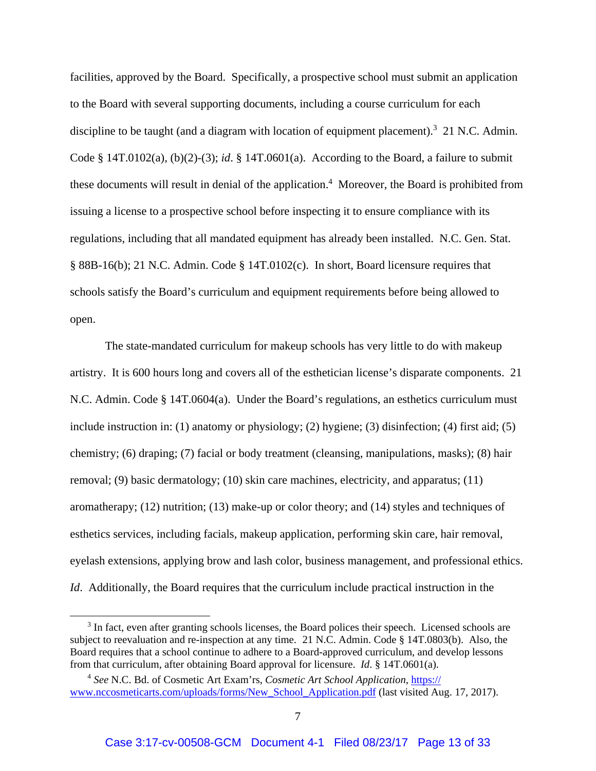facilities, approved by the Board. Specifically, a prospective school must submit an application to the Board with several supporting documents, including a course curriculum for each discipline to be taught (and a diagram with location of equipment placement).<sup>3</sup> 21 N.C. Admin. Code § 14T.0102(a), (b)(2)-(3); *id*. § 14T.0601(a). According to the Board, a failure to submit these documents will result in denial of the application.<sup>4</sup> Moreover, the Board is prohibited from issuing a license to a prospective school before inspecting it to ensure compliance with its regulations, including that all mandated equipment has already been installed. N.C. Gen. Stat. § 88B-16(b); 21 N.C. Admin. Code § 14T.0102(c). In short, Board licensure requires that schools satisfy the Board's curriculum and equipment requirements before being allowed to open.

The state-mandated curriculum for makeup schools has very little to do with makeup artistry. It is 600 hours long and covers all of the esthetician license's disparate components. 21 N.C. Admin. Code § 14T.0604(a). Under the Board's regulations, an esthetics curriculum must include instruction in: (1) anatomy or physiology; (2) hygiene; (3) disinfection; (4) first aid; (5) chemistry; (6) draping; (7) facial or body treatment (cleansing, manipulations, masks); (8) hair removal; (9) basic dermatology; (10) skin care machines, electricity, and apparatus; (11) aromatherapy; (12) nutrition; (13) make-up or color theory; and (14) styles and techniques of esthetics services, including facials, makeup application, performing skin care, hair removal, eyelash extensions, applying brow and lash color, business management, and professional ethics. *Id*. Additionally, the Board requires that the curriculum include practical instruction in the

<sup>&</sup>lt;sup>3</sup> In fact, even after granting schools licenses, the Board polices their speech. Licensed schools are subject to reevaluation and re-inspection at any time. 21 N.C. Admin. Code § 14T.0803(b). Also, the Board requires that a school continue to adhere to a Board-approved curriculum, and develop lessons from that curriculum, after obtaining Board approval for licensure. *Id*. § 14T.0601(a).

<sup>4</sup> *See* N.C. Bd. of Cosmetic Art Exam'rs, *Cosmetic Art School Application*, https:// www.nccosmeticarts.com/uploads/forms/New\_School\_Application.pdf (last visited Aug. 17, 2017).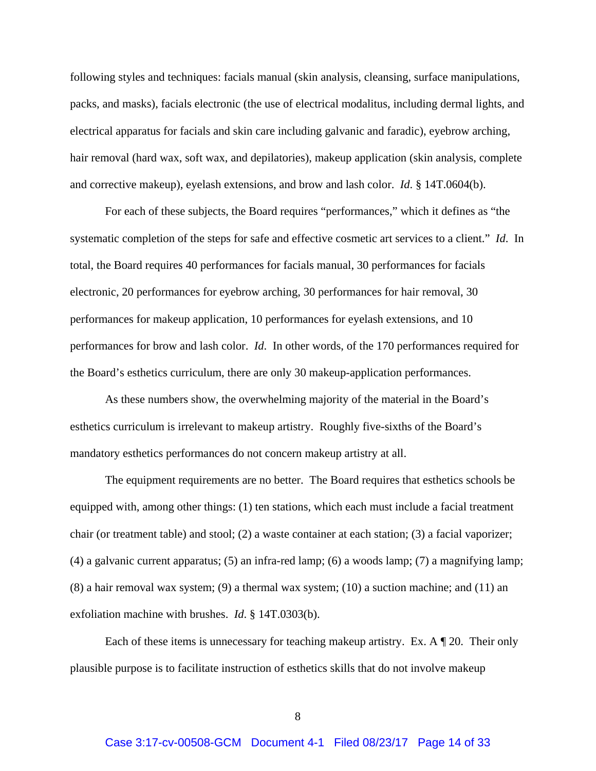following styles and techniques: facials manual (skin analysis, cleansing, surface manipulations, packs, and masks), facials electronic (the use of electrical modalitus, including dermal lights, and electrical apparatus for facials and skin care including galvanic and faradic), eyebrow arching, hair removal (hard wax, soft wax, and depilatories), makeup application (skin analysis, complete and corrective makeup), eyelash extensions, and brow and lash color. *Id*. § 14T.0604(b).

For each of these subjects, the Board requires "performances," which it defines as "the systematic completion of the steps for safe and effective cosmetic art services to a client." *Id*. In total, the Board requires 40 performances for facials manual, 30 performances for facials electronic, 20 performances for eyebrow arching, 30 performances for hair removal, 30 performances for makeup application, 10 performances for eyelash extensions, and 10 performances for brow and lash color. *Id*. In other words, of the 170 performances required for the Board's esthetics curriculum, there are only 30 makeup-application performances.

As these numbers show, the overwhelming majority of the material in the Board's esthetics curriculum is irrelevant to makeup artistry. Roughly five-sixths of the Board's mandatory esthetics performances do not concern makeup artistry at all.

The equipment requirements are no better. The Board requires that esthetics schools be equipped with, among other things: (1) ten stations, which each must include a facial treatment chair (or treatment table) and stool; (2) a waste container at each station; (3) a facial vaporizer; (4) a galvanic current apparatus; (5) an infra-red lamp; (6) a woods lamp; (7) a magnifying lamp;  $(8)$  a hair removal wax system;  $(9)$  a thermal wax system;  $(10)$  a suction machine; and  $(11)$  an exfoliation machine with brushes. *Id*. § 14T.0303(b).

Each of these items is unnecessary for teaching makeup artistry. Ex. A  $\mathbb{I}$  20. Their only plausible purpose is to facilitate instruction of esthetics skills that do not involve makeup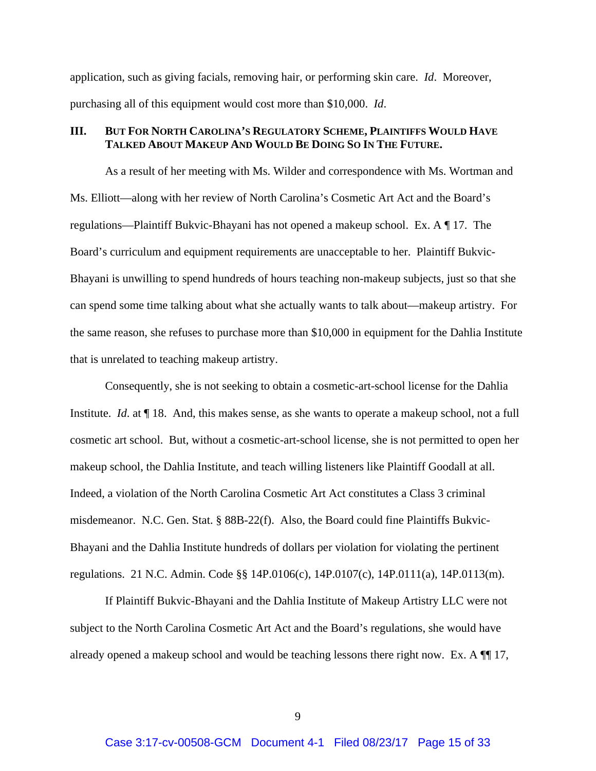application, such as giving facials, removing hair, or performing skin care. *Id*. Moreover, purchasing all of this equipment would cost more than \$10,000. *Id*.

## **III. BUT FOR NORTH CAROLINA'S REGULATORY SCHEME, PLAINTIFFS WOULD HAVE TALKED ABOUT MAKEUP AND WOULD BE DOING SO IN THE FUTURE.**

As a result of her meeting with Ms. Wilder and correspondence with Ms. Wortman and Ms. Elliott—along with her review of North Carolina's Cosmetic Art Act and the Board's regulations—Plaintiff Bukvic-Bhayani has not opened a makeup school. Ex. A ¶ 17. The Board's curriculum and equipment requirements are unacceptable to her. Plaintiff Bukvic-Bhayani is unwilling to spend hundreds of hours teaching non-makeup subjects, just so that she can spend some time talking about what she actually wants to talk about—makeup artistry. For the same reason, she refuses to purchase more than \$10,000 in equipment for the Dahlia Institute that is unrelated to teaching makeup artistry.

Consequently, she is not seeking to obtain a cosmetic-art-school license for the Dahlia Institute. *Id*. at ¶ 18. And, this makes sense, as she wants to operate a makeup school, not a full cosmetic art school. But, without a cosmetic-art-school license, she is not permitted to open her makeup school, the Dahlia Institute, and teach willing listeners like Plaintiff Goodall at all. Indeed, a violation of the North Carolina Cosmetic Art Act constitutes a Class 3 criminal misdemeanor. N.C. Gen. Stat. § 88B-22(f). Also, the Board could fine Plaintiffs Bukvic-Bhayani and the Dahlia Institute hundreds of dollars per violation for violating the pertinent regulations. 21 N.C. Admin. Code §§ 14P.0106(c), 14P.0107(c), 14P.0111(a), 14P.0113(m).

If Plaintiff Bukvic-Bhayani and the Dahlia Institute of Makeup Artistry LLC were not subject to the North Carolina Cosmetic Art Act and the Board's regulations, she would have already opened a makeup school and would be teaching lessons there right now. Ex. A ¶¶ 17,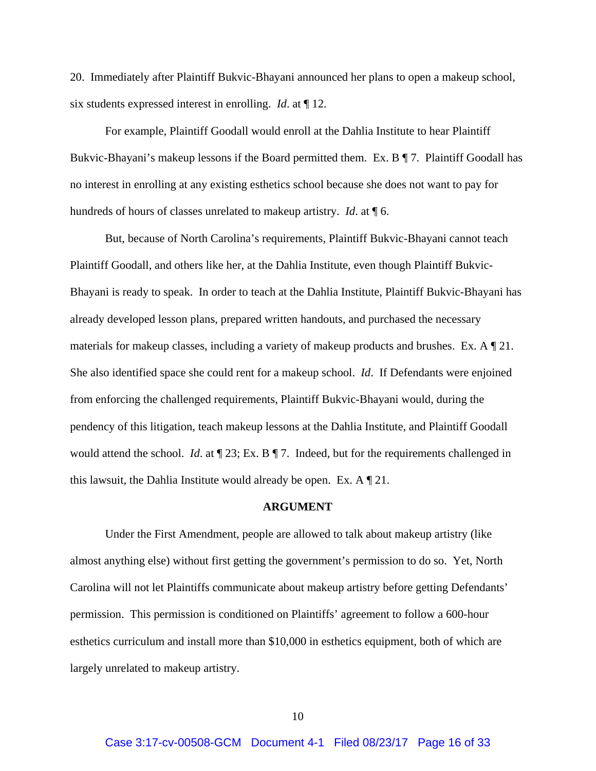20. Immediately after Plaintiff Bukvic-Bhayani announced her plans to open a makeup school, six students expressed interest in enrolling. *Id*. at ¶ 12.

For example, Plaintiff Goodall would enroll at the Dahlia Institute to hear Plaintiff Bukvic-Bhayani's makeup lessons if the Board permitted them. Ex. B ¶ 7. Plaintiff Goodall has no interest in enrolling at any existing esthetics school because she does not want to pay for hundreds of hours of classes unrelated to makeup artistry. *Id*. at ¶ 6.

But, because of North Carolina's requirements, Plaintiff Bukvic-Bhayani cannot teach Plaintiff Goodall, and others like her, at the Dahlia Institute, even though Plaintiff Bukvic-Bhayani is ready to speak. In order to teach at the Dahlia Institute, Plaintiff Bukvic-Bhayani has already developed lesson plans, prepared written handouts, and purchased the necessary materials for makeup classes, including a variety of makeup products and brushes. Ex. A ¶ 21. She also identified space she could rent for a makeup school. *Id*. If Defendants were enjoined from enforcing the challenged requirements, Plaintiff Bukvic-Bhayani would, during the pendency of this litigation, teach makeup lessons at the Dahlia Institute, and Plaintiff Goodall would attend the school. *Id*. at ¶ 23; Ex. B ¶ 7. Indeed, but for the requirements challenged in this lawsuit, the Dahlia Institute would already be open. Ex. A ¶ 21.

#### **ARGUMENT**

 Under the First Amendment, people are allowed to talk about makeup artistry (like almost anything else) without first getting the government's permission to do so. Yet, North Carolina will not let Plaintiffs communicate about makeup artistry before getting Defendants' permission. This permission is conditioned on Plaintiffs' agreement to follow a 600-hour esthetics curriculum and install more than \$10,000 in esthetics equipment, both of which are largely unrelated to makeup artistry.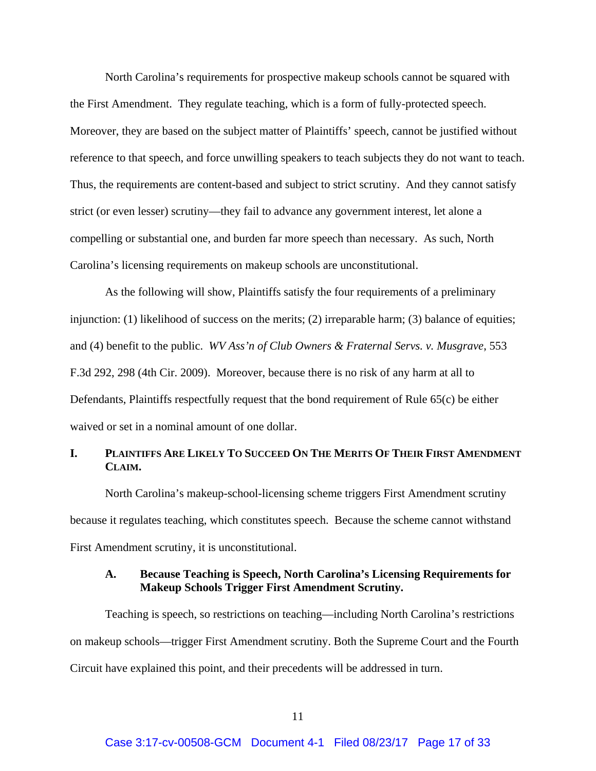North Carolina's requirements for prospective makeup schools cannot be squared with the First Amendment. They regulate teaching, which is a form of fully-protected speech. Moreover, they are based on the subject matter of Plaintiffs' speech, cannot be justified without reference to that speech, and force unwilling speakers to teach subjects they do not want to teach. Thus, the requirements are content-based and subject to strict scrutiny. And they cannot satisfy strict (or even lesser) scrutiny—they fail to advance any government interest, let alone a compelling or substantial one, and burden far more speech than necessary. As such, North Carolina's licensing requirements on makeup schools are unconstitutional.

As the following will show, Plaintiffs satisfy the four requirements of a preliminary injunction: (1) likelihood of success on the merits; (2) irreparable harm; (3) balance of equities; and (4) benefit to the public. *WV Ass'n of Club Owners & Fraternal Servs. v. Musgrave*, 553 F.3d 292, 298 (4th Cir. 2009). Moreover, because there is no risk of any harm at all to Defendants, Plaintiffs respectfully request that the bond requirement of Rule 65(c) be either waived or set in a nominal amount of one dollar.

## **I. PLAINTIFFS ARE LIKELY TO SUCCEED ON THE MERITS OF THEIR FIRST AMENDMENT CLAIM.**

North Carolina's makeup-school-licensing scheme triggers First Amendment scrutiny because it regulates teaching, which constitutes speech. Because the scheme cannot withstand First Amendment scrutiny, it is unconstitutional.

## **A. Because Teaching is Speech, North Carolina's Licensing Requirements for Makeup Schools Trigger First Amendment Scrutiny.**

Teaching is speech, so restrictions on teaching—including North Carolina's restrictions on makeup schools—trigger First Amendment scrutiny. Both the Supreme Court and the Fourth Circuit have explained this point, and their precedents will be addressed in turn.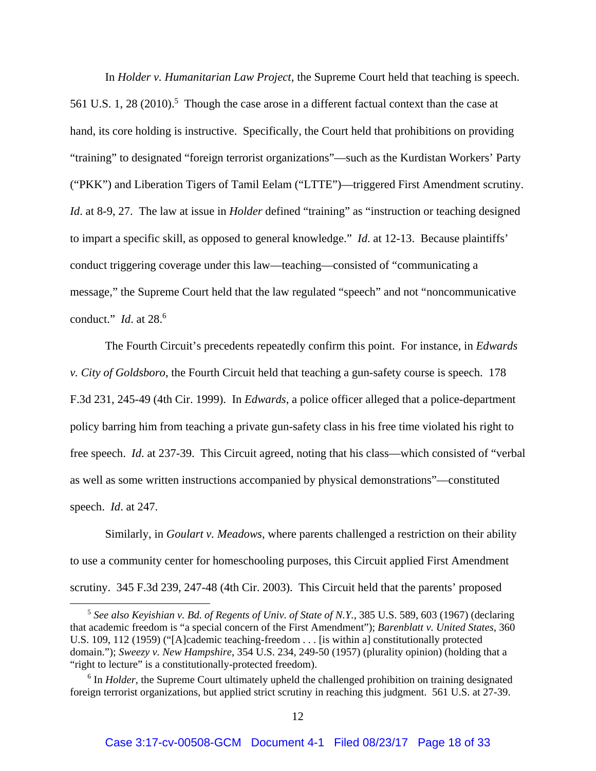In *Holder v. Humanitarian Law Project*, the Supreme Court held that teaching is speech. 561 U.S. 1, 28 (2010).<sup>5</sup> Though the case arose in a different factual context than the case at hand, its core holding is instructive. Specifically, the Court held that prohibitions on providing "training" to designated "foreign terrorist organizations"—such as the Kurdistan Workers' Party ("PKK") and Liberation Tigers of Tamil Eelam ("LTTE")—triggered First Amendment scrutiny. *Id*. at 8-9, 27. The law at issue in *Holder* defined "training" as "instruction or teaching designed to impart a specific skill, as opposed to general knowledge." *Id*. at 12-13. Because plaintiffs' conduct triggering coverage under this law—teaching—consisted of "communicating a message," the Supreme Court held that the law regulated "speech" and not "noncommunicative conduct." *Id*. at 28.6

 The Fourth Circuit's precedents repeatedly confirm this point. For instance, in *Edwards v. City of Goldsboro*, the Fourth Circuit held that teaching a gun-safety course is speech. 178 F.3d 231, 245-49 (4th Cir. 1999). In *Edwards*, a police officer alleged that a police-department policy barring him from teaching a private gun-safety class in his free time violated his right to free speech. *Id*. at 237-39. This Circuit agreed, noting that his class—which consisted of "verbal as well as some written instructions accompanied by physical demonstrations"—constituted speech. *Id*. at 247.

Similarly, in *Goulart v. Meadows*, where parents challenged a restriction on their ability to use a community center for homeschooling purposes, this Circuit applied First Amendment scrutiny. 345 F.3d 239, 247-48 (4th Cir. 2003). This Circuit held that the parents' proposed

<sup>5</sup> *See also Keyishian v. Bd. of Regents of Univ. of State of N.Y.*, 385 U.S. 589, 603 (1967) (declaring that academic freedom is "a special concern of the First Amendment"); *Barenblatt v. United States*, 360 U.S. 109, 112 (1959) ("[A]cademic teaching-freedom . . . [is within a] constitutionally protected domain."); *Sweezy v. New Hampshire*, 354 U.S. 234, 249-50 (1957) (plurality opinion) (holding that a "right to lecture" is a constitutionally-protected freedom).

<sup>&</sup>lt;sup>6</sup> In *Holder*, the Supreme Court ultimately upheld the challenged prohibition on training designated foreign terrorist organizations, but applied strict scrutiny in reaching this judgment. 561 U.S. at 27-39.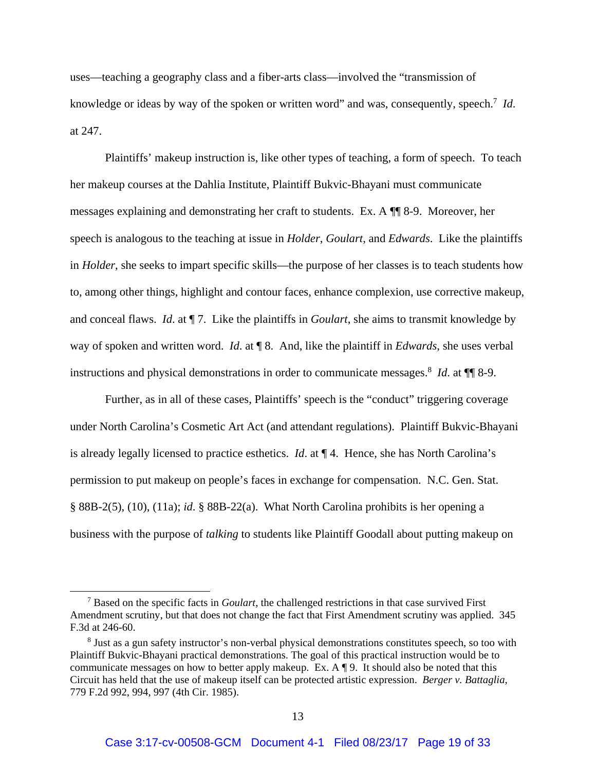uses—teaching a geography class and a fiber-arts class—involved the "transmission of knowledge or ideas by way of the spoken or written word" and was, consequently, speech.<sup>7</sup> Id. at 247.

 Plaintiffs' makeup instruction is, like other types of teaching, a form of speech. To teach her makeup courses at the Dahlia Institute, Plaintiff Bukvic-Bhayani must communicate messages explaining and demonstrating her craft to students. Ex. A ¶¶ 8-9. Moreover, her speech is analogous to the teaching at issue in *Holder*, *Goulart*, and *Edwards*. Like the plaintiffs in *Holder*, she seeks to impart specific skills—the purpose of her classes is to teach students how to, among other things, highlight and contour faces, enhance complexion, use corrective makeup, and conceal flaws. *Id*. at ¶ 7. Like the plaintiffs in *Goulart*, she aims to transmit knowledge by way of spoken and written word. *Id*. at ¶ 8. And, like the plaintiff in *Edwards*, she uses verbal instructions and physical demonstrations in order to communicate messages.<sup>8</sup> *Id*. at ¶¶ 8-9.

 Further, as in all of these cases, Plaintiffs' speech is the "conduct" triggering coverage under North Carolina's Cosmetic Art Act (and attendant regulations). Plaintiff Bukvic-Bhayani is already legally licensed to practice esthetics. *Id*. at ¶ 4. Hence, she has North Carolina's permission to put makeup on people's faces in exchange for compensation. N.C. Gen. Stat. § 88B-2(5), (10), (11a); *id*. § 88B-22(a). What North Carolina prohibits is her opening a business with the purpose of *talking* to students like Plaintiff Goodall about putting makeup on

<sup>7</sup> Based on the specific facts in *Goulart*, the challenged restrictions in that case survived First Amendment scrutiny, but that does not change the fact that First Amendment scrutiny was applied. 345 F.3d at 246-60.

<sup>&</sup>lt;sup>8</sup> Just as a gun safety instructor's non-verbal physical demonstrations constitutes speech, so too with Plaintiff Bukvic-Bhayani practical demonstrations. The goal of this practical instruction would be to communicate messages on how to better apply makeup. Ex. A ¶ 9. It should also be noted that this Circuit has held that the use of makeup itself can be protected artistic expression. *Berger v. Battaglia*, 779 F.2d 992, 994, 997 (4th Cir. 1985).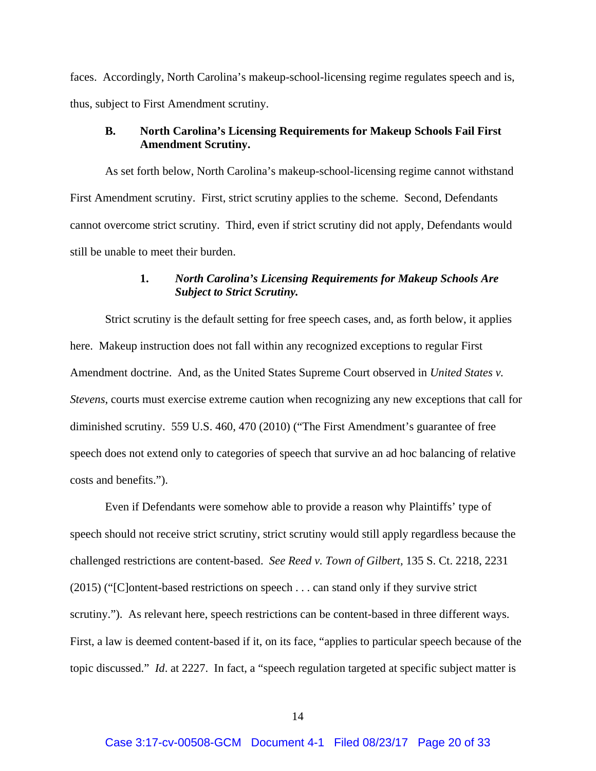faces. Accordingly, North Carolina's makeup-school-licensing regime regulates speech and is, thus, subject to First Amendment scrutiny.

## **B. North Carolina's Licensing Requirements for Makeup Schools Fail First Amendment Scrutiny.**

 As set forth below, North Carolina's makeup-school-licensing regime cannot withstand First Amendment scrutiny. First, strict scrutiny applies to the scheme. Second, Defendants cannot overcome strict scrutiny. Third, even if strict scrutiny did not apply, Defendants would still be unable to meet their burden.

## **1.** *North Carolina's Licensing Requirements for Makeup Schools Are Subject to Strict Scrutiny.*

Strict scrutiny is the default setting for free speech cases, and, as forth below, it applies here. Makeup instruction does not fall within any recognized exceptions to regular First Amendment doctrine. And, as the United States Supreme Court observed in *United States v. Stevens*, courts must exercise extreme caution when recognizing any new exceptions that call for diminished scrutiny. 559 U.S. 460, 470 (2010) ("The First Amendment's guarantee of free speech does not extend only to categories of speech that survive an ad hoc balancing of relative costs and benefits.").

Even if Defendants were somehow able to provide a reason why Plaintiffs' type of speech should not receive strict scrutiny, strict scrutiny would still apply regardless because the challenged restrictions are content-based. *See Reed v. Town of Gilbert,* 135 S. Ct. 2218, 2231 (2015) ("[C]ontent-based restrictions on speech . . . can stand only if they survive strict scrutiny."). As relevant here, speech restrictions can be content-based in three different ways. First, a law is deemed content-based if it, on its face, "applies to particular speech because of the topic discussed." *Id*. at 2227. In fact, a "speech regulation targeted at specific subject matter is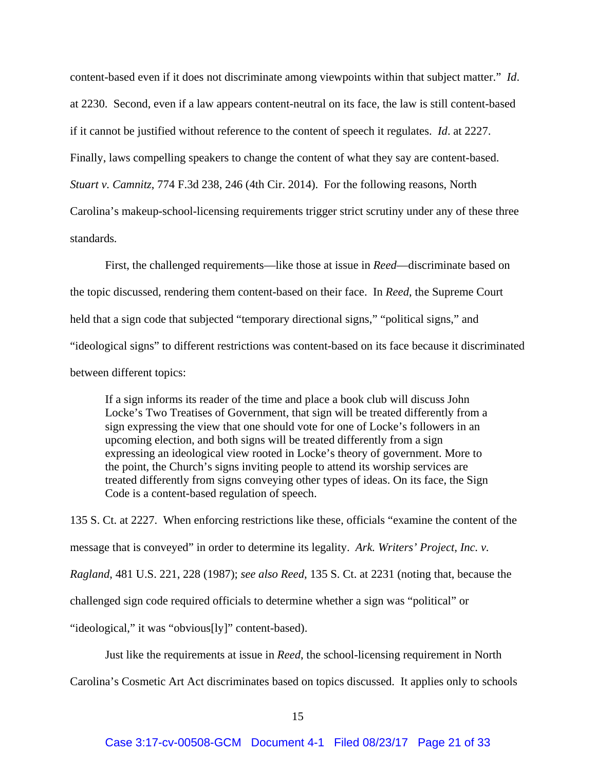content-based even if it does not discriminate among viewpoints within that subject matter." *Id*. at 2230. Second, even if a law appears content-neutral on its face, the law is still content-based if it cannot be justified without reference to the content of speech it regulates. *Id*. at 2227. Finally, laws compelling speakers to change the content of what they say are content-based. *Stuart v. Camnitz*, 774 F.3d 238, 246 (4th Cir. 2014). For the following reasons, North Carolina's makeup-school-licensing requirements trigger strict scrutiny under any of these three standards*.* 

First, the challenged requirements—like those at issue in *Reed*—discriminate based on the topic discussed, rendering them content-based on their face. In *Reed*, the Supreme Court held that a sign code that subjected "temporary directional signs," "political signs," and "ideological signs" to different restrictions was content-based on its face because it discriminated between different topics:

If a sign informs its reader of the time and place a book club will discuss John Locke's Two Treatises of Government, that sign will be treated differently from a sign expressing the view that one should vote for one of Locke's followers in an upcoming election, and both signs will be treated differently from a sign expressing an ideological view rooted in Locke's theory of government. More to the point, the Church's signs inviting people to attend its worship services are treated differently from signs conveying other types of ideas. On its face, the Sign Code is a content-based regulation of speech.

135 S. Ct. at 2227. When enforcing restrictions like these, officials "examine the content of the message that is conveyed" in order to determine its legality. *Ark. Writers' Project, Inc. v. Ragland*, 481 U.S. 221, 228 (1987); *see also Reed*, 135 S. Ct. at 2231 (noting that, because the challenged sign code required officials to determine whether a sign was "political" or "ideological," it was "obvious[ly]" content-based).

Just like the requirements at issue in *Reed*, the school-licensing requirement in North

Carolina's Cosmetic Art Act discriminates based on topics discussed.It applies only to schools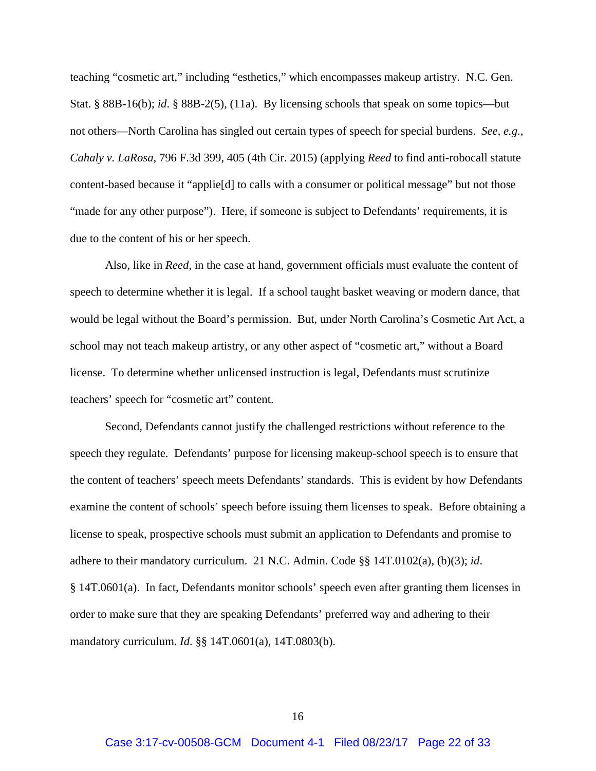teaching "cosmetic art," including "esthetics," which encompasses makeup artistry. N.C. Gen. Stat. § 88B-16(b); *id*. § 88B-2(5), (11a). By licensing schools that speak on some topics—but not others—North Carolina has singled out certain types of speech for special burdens. *See, e.g.*, *Cahaly v. LaRosa*, 796 F.3d 399, 405 (4th Cir. 2015) (applying *Reed* to find anti-robocall statute content-based because it "applie[d] to calls with a consumer or political message" but not those "made for any other purpose"). Here, if someone is subject to Defendants' requirements, it is due to the content of his or her speech.

Also, like in *Reed*, in the case at hand, government officials must evaluate the content of speech to determine whether it is legal. If a school taught basket weaving or modern dance, that would be legal without the Board's permission. But, under North Carolina's Cosmetic Art Act, a school may not teach makeup artistry, or any other aspect of "cosmetic art," without a Board license. To determine whether unlicensed instruction is legal, Defendants must scrutinize teachers' speech for "cosmetic art" content.

Second, Defendants cannot justify the challenged restrictions without reference to the speech they regulate. Defendants' purpose for licensing makeup-school speech is to ensure that the content of teachers' speech meets Defendants' standards. This is evident by how Defendants examine the content of schools' speech before issuing them licenses to speak. Before obtaining a license to speak, prospective schools must submit an application to Defendants and promise to adhere to their mandatory curriculum. 21 N.C. Admin. Code §§ 14T.0102(a), (b)(3); *id*. § 14T.0601(a). In fact, Defendants monitor schools' speech even after granting them licenses in order to make sure that they are speaking Defendants' preferred way and adhering to their mandatory curriculum. *Id*. §§ 14T.0601(a), 14T.0803(b).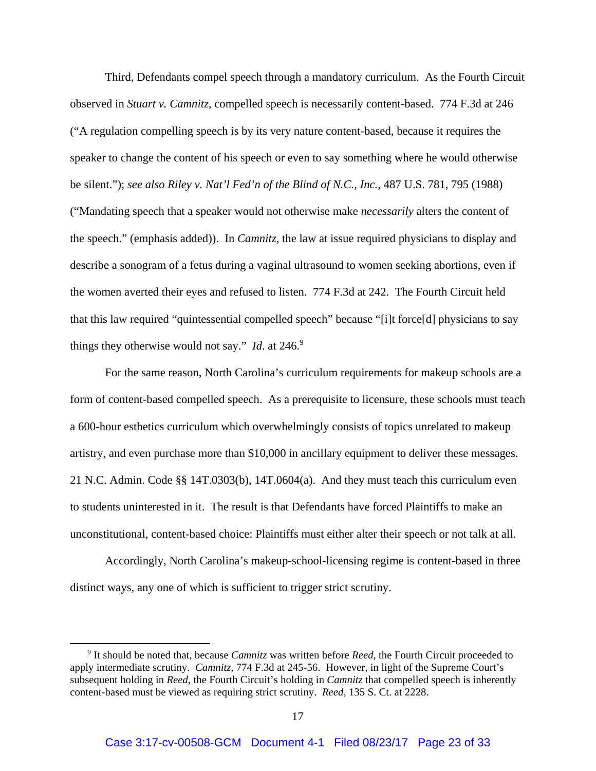Third, Defendants compel speech through a mandatory curriculum. As the Fourth Circuit observed in *Stuart v. Camnitz*, compelled speech is necessarily content-based. 774 F.3d at 246 ("A regulation compelling speech is by its very nature content-based, because it requires the speaker to change the content of his speech or even to say something where he would otherwise be silent."); *see also Riley v. Nat'l Fed'n of the Blind of N.C., Inc.*, 487 U.S. 781, 795 (1988) ("Mandating speech that a speaker would not otherwise make *necessarily* alters the content of the speech." (emphasis added)). In *Camnitz*, the law at issue required physicians to display and describe a sonogram of a fetus during a vaginal ultrasound to women seeking abortions, even if the women averted their eyes and refused to listen. 774 F.3d at 242. The Fourth Circuit held that this law required "quintessential compelled speech" because "[i]t force[d] physicians to say things they otherwise would not say." *Id.* at  $246$ .

For the same reason, North Carolina's curriculum requirements for makeup schools are a form of content-based compelled speech. As a prerequisite to licensure, these schools must teach a 600-hour esthetics curriculum which overwhelmingly consists of topics unrelated to makeup artistry, and even purchase more than \$10,000 in ancillary equipment to deliver these messages. 21 N.C. Admin. Code §§ 14T.0303(b), 14T.0604(a). And they must teach this curriculum even to students uninterested in it. The result is that Defendants have forced Plaintiffs to make an unconstitutional, content-based choice: Plaintiffs must either alter their speech or not talk at all.

Accordingly, North Carolina's makeup-school-licensing regime is content-based in three distinct ways, any one of which is sufficient to trigger strict scrutiny.

<sup>9</sup> It should be noted that, because *Camnitz* was written before *Reed*, the Fourth Circuit proceeded to apply intermediate scrutiny. *Camnitz*, 774 F.3d at 245-56. However, in light of the Supreme Court's subsequent holding in *Reed*, the Fourth Circuit's holding in *Camnitz* that compelled speech is inherently content-based must be viewed as requiring strict scrutiny. *Reed*, 135 S. Ct. at 2228.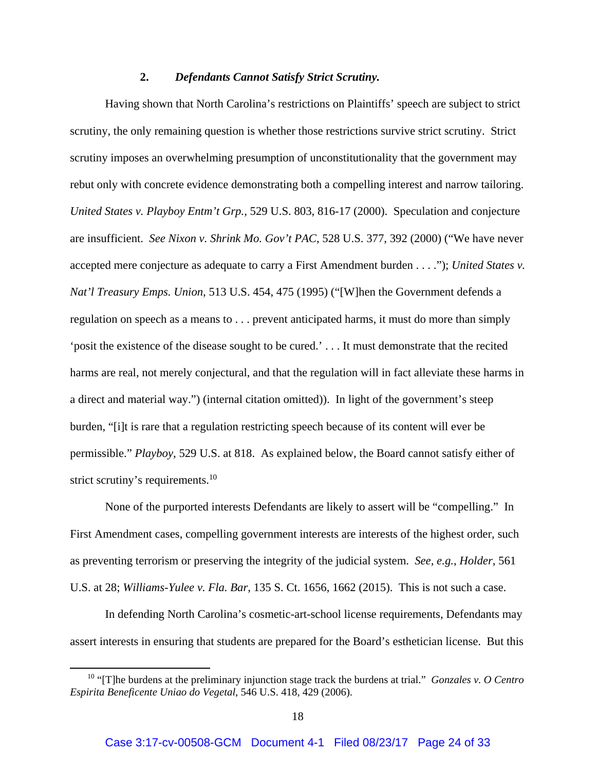#### **2.** *Defendants Cannot Satisfy Strict Scrutiny.*

 Having shown that North Carolina's restrictions on Plaintiffs' speech are subject to strict scrutiny, the only remaining question is whether those restrictions survive strict scrutiny. Strict scrutiny imposes an overwhelming presumption of unconstitutionality that the government may rebut only with concrete evidence demonstrating both a compelling interest and narrow tailoring. *United States v. Playboy Entm't Grp.*, 529 U.S. 803, 816-17 (2000). Speculation and conjecture are insufficient. *See Nixon v. Shrink Mo. Gov't PAC*, 528 U.S. 377, 392 (2000) ("We have never accepted mere conjecture as adequate to carry a First Amendment burden . . . ."); *United States v. Nat'l Treasury Emps. Union*, 513 U.S. 454, 475 (1995) ("[W]hen the Government defends a regulation on speech as a means to . . . prevent anticipated harms, it must do more than simply 'posit the existence of the disease sought to be cured.' . . . It must demonstrate that the recited harms are real, not merely conjectural, and that the regulation will in fact alleviate these harms in a direct and material way.") (internal citation omitted)). In light of the government's steep burden, "[i]t is rare that a regulation restricting speech because of its content will ever be permissible." *Playboy*, 529 U.S. at 818. As explained below, the Board cannot satisfy either of strict scrutiny's requirements.<sup>10</sup>

 None of the purported interests Defendants are likely to assert will be "compelling." In First Amendment cases, compelling government interests are interests of the highest order, such as preventing terrorism or preserving the integrity of the judicial system. *See, e.g.*, *Holder*, 561 U.S. at 28; *Williams-Yulee v. Fla. Bar*, 135 S. Ct. 1656, 1662 (2015). This is not such a case.

 In defending North Carolina's cosmetic-art-school license requirements, Defendants may assert interests in ensuring that students are prepared for the Board's esthetician license. But this

<sup>10 &</sup>quot;[T]he burdens at the preliminary injunction stage track the burdens at trial." *Gonzales v. O Centro Espirita Beneficente Uniao do Vegetal*, 546 U.S. 418, 429 (2006).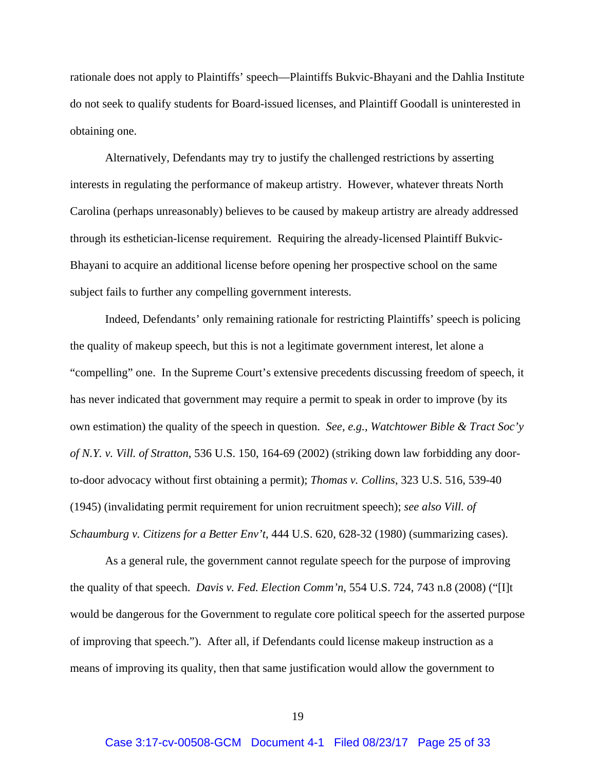rationale does not apply to Plaintiffs' speech—Plaintiffs Bukvic-Bhayani and the Dahlia Institute do not seek to qualify students for Board-issued licenses, and Plaintiff Goodall is uninterested in obtaining one.

 Alternatively, Defendants may try to justify the challenged restrictions by asserting interests in regulating the performance of makeup artistry. However, whatever threats North Carolina (perhaps unreasonably) believes to be caused by makeup artistry are already addressed through its esthetician-license requirement. Requiring the already-licensed Plaintiff Bukvic-Bhayani to acquire an additional license before opening her prospective school on the same subject fails to further any compelling government interests.

Indeed, Defendants' only remaining rationale for restricting Plaintiffs' speech is policing the quality of makeup speech, but this is not a legitimate government interest, let alone a "compelling" one. In the Supreme Court's extensive precedents discussing freedom of speech, it has never indicated that government may require a permit to speak in order to improve (by its own estimation) the quality of the speech in question. *See, e.g.*, *Watchtower Bible & Tract Soc'y of N.Y. v. Vill. of Stratton*, 536 U.S. 150, 164-69 (2002) (striking down law forbidding any doorto-door advocacy without first obtaining a permit); *Thomas v. Collins*, 323 U.S. 516, 539-40 (1945) (invalidating permit requirement for union recruitment speech); *see also Vill. of Schaumburg v. Citizens for a Better Env't*, 444 U.S. 620, 628-32 (1980) (summarizing cases).

As a general rule, the government cannot regulate speech for the purpose of improving the quality of that speech. *Davis v. Fed. Election Comm'n*, 554 U.S. 724, 743 n.8 (2008) ("[I]t would be dangerous for the Government to regulate core political speech for the asserted purpose of improving that speech."). After all, if Defendants could license makeup instruction as a means of improving its quality, then that same justification would allow the government to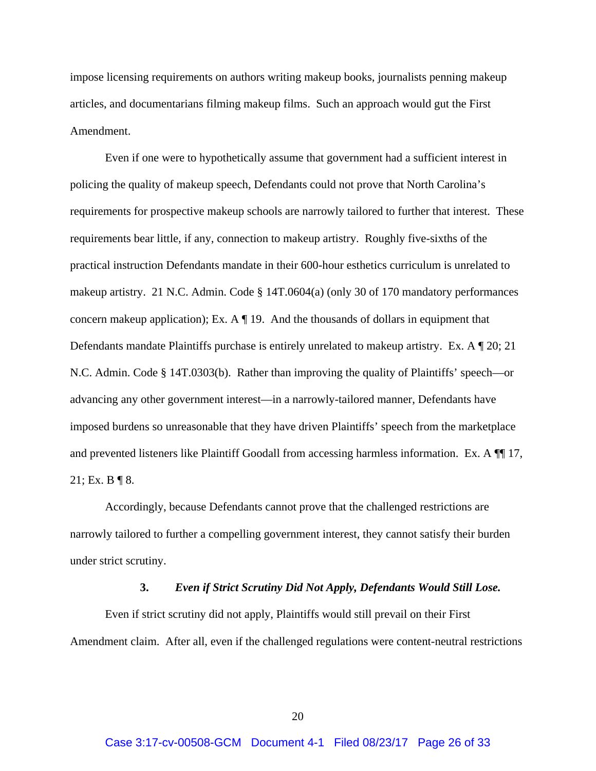impose licensing requirements on authors writing makeup books, journalists penning makeup articles, and documentarians filming makeup films. Such an approach would gut the First Amendment.

Even if one were to hypothetically assume that government had a sufficient interest in policing the quality of makeup speech, Defendants could not prove that North Carolina's requirements for prospective makeup schools are narrowly tailored to further that interest. These requirements bear little, if any, connection to makeup artistry. Roughly five-sixths of the practical instruction Defendants mandate in their 600-hour esthetics curriculum is unrelated to makeup artistry. 21 N.C. Admin. Code § 14T.0604(a) (only 30 of 170 mandatory performances concern makeup application); Ex. A  $\P$  19. And the thousands of dollars in equipment that Defendants mandate Plaintiffs purchase is entirely unrelated to makeup artistry. Ex. A ¶ 20; 21 N.C. Admin. Code § 14T.0303(b). Rather than improving the quality of Plaintiffs' speech—or advancing any other government interest—in a narrowly-tailored manner, Defendants have imposed burdens so unreasonable that they have driven Plaintiffs' speech from the marketplace and prevented listeners like Plaintiff Goodall from accessing harmless information. Ex. A  $\P$  17, 21; Ex. B  $\P$  8.

Accordingly, because Defendants cannot prove that the challenged restrictions are narrowly tailored to further a compelling government interest, they cannot satisfy their burden under strict scrutiny.

#### **3.** *Even if Strict Scrutiny Did Not Apply, Defendants Would Still Lose.*

Even if strict scrutiny did not apply, Plaintiffs would still prevail on their First Amendment claim. After all, even if the challenged regulations were content-neutral restrictions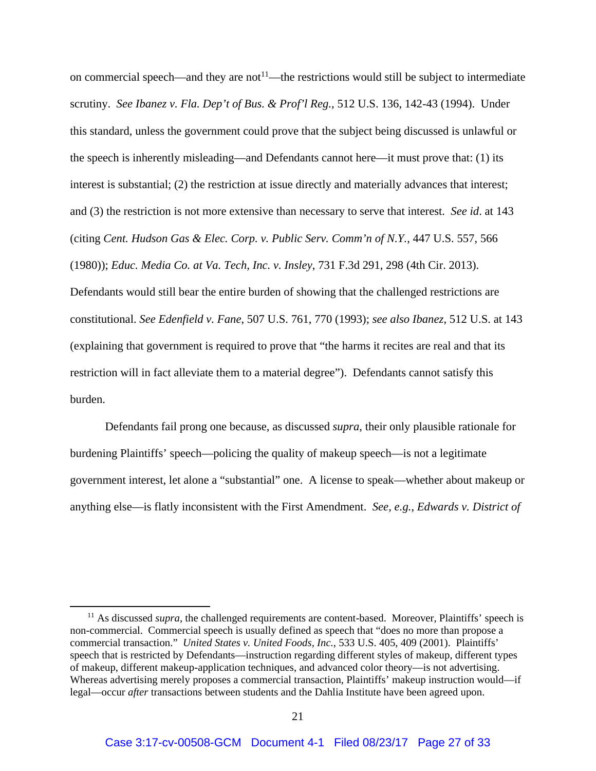on commercial speech—and they are not<sup>11</sup>—the restrictions would still be subject to intermediate scrutiny. *See Ibanez v. Fla. Dep't of Bus. & Prof'l Reg.*, 512 U.S. 136, 142-43 (1994). Under this standard, unless the government could prove that the subject being discussed is unlawful or the speech is inherently misleading—and Defendants cannot here—it must prove that: (1) its interest is substantial; (2) the restriction at issue directly and materially advances that interest; and (3) the restriction is not more extensive than necessary to serve that interest. *See id*. at 143 (citing *Cent. Hudson Gas & Elec. Corp. v. Public Serv. Comm'n of N.Y.*, 447 U.S. 557, 566 (1980)); *Educ. Media Co. at Va. Tech, Inc. v. Insley*, 731 F.3d 291, 298 (4th Cir. 2013). Defendants would still bear the entire burden of showing that the challenged restrictions are constitutional. *See Edenfield v. Fane*, 507 U.S. 761, 770 (1993); *see also Ibanez*, 512 U.S. at 143 (explaining that government is required to prove that "the harms it recites are real and that its restriction will in fact alleviate them to a material degree"). Defendants cannot satisfy this burden.

 Defendants fail prong one because, as discussed *supra*, their only plausible rationale for burdening Plaintiffs' speech—policing the quality of makeup speech—is not a legitimate government interest, let alone a "substantial" one. A license to speak—whether about makeup or anything else—is flatly inconsistent with the First Amendment. *See, e.g.*, *Edwards v. District of* 

<sup>&</sup>lt;sup>11</sup> As discussed *supra*, the challenged requirements are content-based. Moreover, Plaintiffs' speech is non-commercial. Commercial speech is usually defined as speech that "does no more than propose a commercial transaction." *United States v. United Foods, Inc.*, 533 U.S. 405, 409 (2001). Plaintiffs' speech that is restricted by Defendants—instruction regarding different styles of makeup, different types of makeup, different makeup-application techniques, and advanced color theory—is not advertising. Whereas advertising merely proposes a commercial transaction, Plaintiffs' makeup instruction would—if legal—occur *after* transactions between students and the Dahlia Institute have been agreed upon.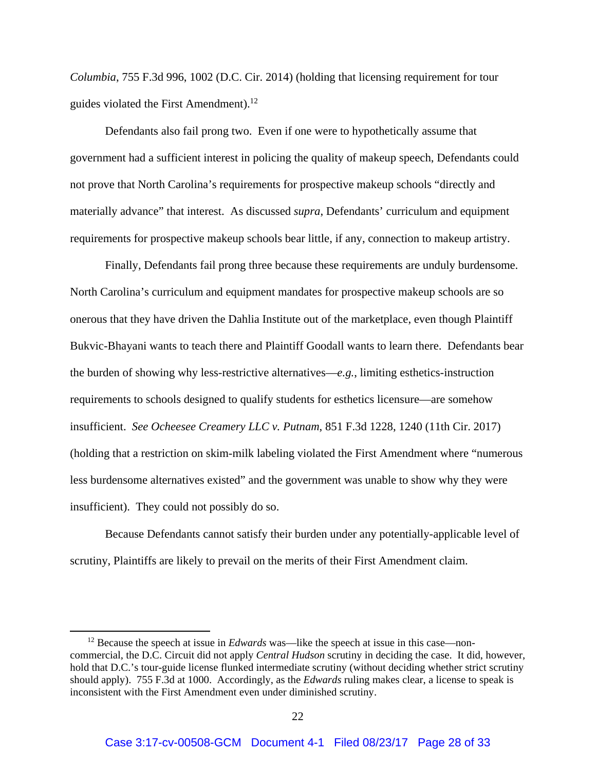*Columbia*, 755 F.3d 996, 1002 (D.C. Cir. 2014) (holding that licensing requirement for tour guides violated the First Amendment).<sup>12</sup>

 Defendants also fail prong two. Even if one were to hypothetically assume that government had a sufficient interest in policing the quality of makeup speech, Defendants could not prove that North Carolina's requirements for prospective makeup schools "directly and materially advance" that interest. As discussed *supra*, Defendants' curriculum and equipment requirements for prospective makeup schools bear little, if any, connection to makeup artistry.

Finally, Defendants fail prong three because these requirements are unduly burdensome. North Carolina's curriculum and equipment mandates for prospective makeup schools are so onerous that they have driven the Dahlia Institute out of the marketplace, even though Plaintiff Bukvic-Bhayani wants to teach there and Plaintiff Goodall wants to learn there. Defendants bear the burden of showing why less-restrictive alternatives—*e.g.*, limiting esthetics-instruction requirements to schools designed to qualify students for esthetics licensure—are somehow insufficient. *See Ocheesee Creamery LLC v. Putnam*, 851 F.3d 1228, 1240 (11th Cir. 2017) (holding that a restriction on skim-milk labeling violated the First Amendment where "numerous less burdensome alternatives existed" and the government was unable to show why they were insufficient). They could not possibly do so.

Because Defendants cannot satisfy their burden under any potentially-applicable level of scrutiny, Plaintiffs are likely to prevail on the merits of their First Amendment claim.

<sup>&</sup>lt;sup>12</sup> Because the speech at issue in *Edwards* was—like the speech at issue in this case—noncommercial, the D.C. Circuit did not apply *Central Hudson* scrutiny in deciding the case. It did, however, hold that D.C.'s tour-guide license flunked intermediate scrutiny (without deciding whether strict scrutiny should apply). 755 F.3d at 1000. Accordingly, as the *Edwards* ruling makes clear, a license to speak is inconsistent with the First Amendment even under diminished scrutiny.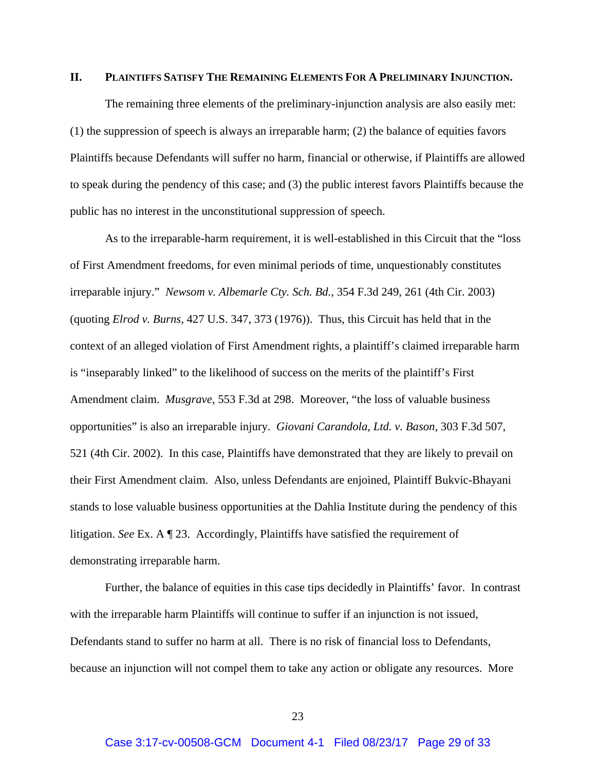#### **II. PLAINTIFFS SATISFY THE REMAINING ELEMENTS FOR A PRELIMINARY INJUNCTION.**

The remaining three elements of the preliminary-injunction analysis are also easily met: (1) the suppression of speech is always an irreparable harm; (2) the balance of equities favors Plaintiffs because Defendants will suffer no harm, financial or otherwise, if Plaintiffs are allowed to speak during the pendency of this case; and (3) the public interest favors Plaintiffs because the public has no interest in the unconstitutional suppression of speech.

As to the irreparable-harm requirement, it is well-established in this Circuit that the "loss of First Amendment freedoms, for even minimal periods of time, unquestionably constitutes irreparable injury." *Newsom v. Albemarle Cty. Sch. Bd.*, 354 F.3d 249, 261 (4th Cir. 2003) (quoting *Elrod v. Burns*, 427 U.S. 347, 373 (1976)). Thus, this Circuit has held that in the context of an alleged violation of First Amendment rights, a plaintiff's claimed irreparable harm is "inseparably linked" to the likelihood of success on the merits of the plaintiff's First Amendment claim. *Musgrave*, 553 F.3d at 298. Moreover, "the loss of valuable business opportunities" is also an irreparable injury. *Giovani Carandola, Ltd. v. Bason*, 303 F.3d 507, 521 (4th Cir. 2002). In this case, Plaintiffs have demonstrated that they are likely to prevail on their First Amendment claim. Also, unless Defendants are enjoined, Plaintiff Bukvic-Bhayani stands to lose valuable business opportunities at the Dahlia Institute during the pendency of this litigation. *See* Ex. A ¶ 23. Accordingly, Plaintiffs have satisfied the requirement of demonstrating irreparable harm.

 Further, the balance of equities in this case tips decidedly in Plaintiffs' favor. In contrast with the irreparable harm Plaintiffs will continue to suffer if an injunction is not issued, Defendants stand to suffer no harm at all. There is no risk of financial loss to Defendants, because an injunction will not compel them to take any action or obligate any resources. More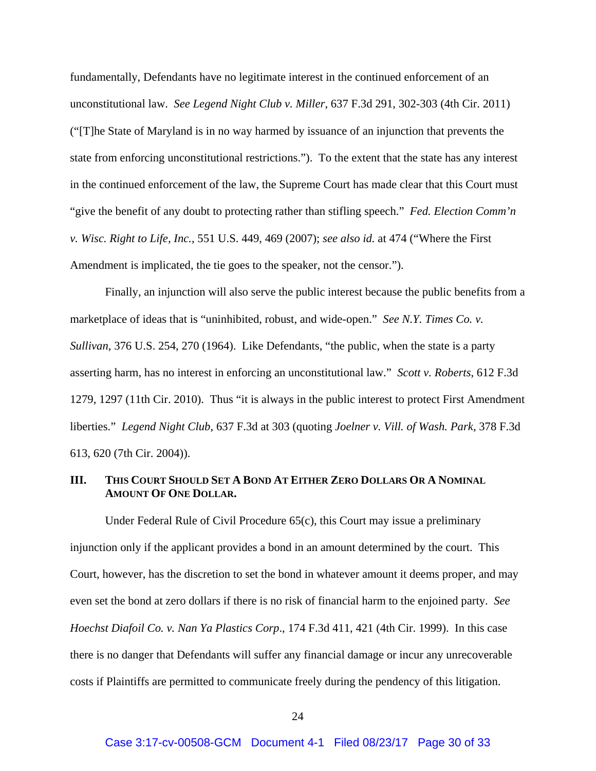fundamentally, Defendants have no legitimate interest in the continued enforcement of an unconstitutional law. *See Legend Night Club v. Miller*, 637 F.3d 291, 302-303 (4th Cir. 2011) ("[T]he State of Maryland is in no way harmed by issuance of an injunction that prevents the state from enforcing unconstitutional restrictions."). To the extent that the state has any interest in the continued enforcement of the law, the Supreme Court has made clear that this Court must "give the benefit of any doubt to protecting rather than stifling speech." *Fed. Election Comm'n v. Wisc. Right to Life, Inc.*, 551 U.S. 449, 469 (2007); *see also id.* at 474 ("Where the First Amendment is implicated, the tie goes to the speaker, not the censor.").

Finally, an injunction will also serve the public interest because the public benefits from a marketplace of ideas that is "uninhibited, robust, and wide-open." *See N.Y. Times Co. v. Sullivan*, 376 U.S. 254, 270 (1964). Like Defendants, "the public, when the state is a party asserting harm, has no interest in enforcing an unconstitutional law." *Scott v. Roberts*, 612 F.3d 1279, 1297 (11th Cir. 2010). Thus "it is always in the public interest to protect First Amendment liberties." *Legend Night Club*, 637 F.3d at 303 (quoting *Joelner v. Vill. of Wash. Park*, 378 F.3d 613, 620 (7th Cir. 2004)).

## **III. THIS COURT SHOULD SET A BOND AT EITHER ZERO DOLLARS OR A NOMINAL AMOUNT OF ONE DOLLAR.**

Under Federal Rule of Civil Procedure 65(c), this Court may issue a preliminary injunction only if the applicant provides a bond in an amount determined by the court. This Court, however, has the discretion to set the bond in whatever amount it deems proper, and may even set the bond at zero dollars if there is no risk of financial harm to the enjoined party. *See Hoechst Diafoil Co. v. Nan Ya Plastics Corp*., 174 F.3d 411, 421 (4th Cir. 1999). In this case there is no danger that Defendants will suffer any financial damage or incur any unrecoverable costs if Plaintiffs are permitted to communicate freely during the pendency of this litigation.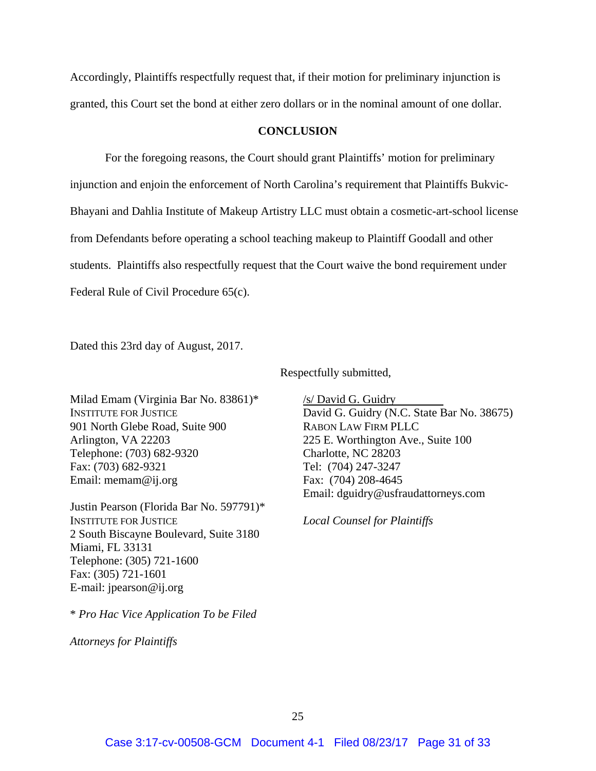Accordingly, Plaintiffs respectfully request that, if their motion for preliminary injunction is granted, this Court set the bond at either zero dollars or in the nominal amount of one dollar.

#### **CONCLUSION**

 For the foregoing reasons, the Court should grant Plaintiffs' motion for preliminary injunction and enjoin the enforcement of North Carolina's requirement that Plaintiffs Bukvic-Bhayani and Dahlia Institute of Makeup Artistry LLC must obtain a cosmetic-art-school license from Defendants before operating a school teaching makeup to Plaintiff Goodall and other students. Plaintiffs also respectfully request that the Court waive the bond requirement under Federal Rule of Civil Procedure 65(c).

Dated this 23rd day of August, 2017.

Milad Emam (Virginia Bar No. 83861)\* INSTITUTE FOR JUSTICE 901 North Glebe Road, Suite 900 Arlington, VA 22203 Telephone: (703) 682-9320 Fax: (703) 682-9321 Email: memam@ij.org

Justin Pearson (Florida Bar No. 597791)\* INSTITUTE FOR JUSTICE 2 South Biscayne Boulevard, Suite 3180 Miami, FL 33131 Telephone: (305) 721-1600 Fax: (305) 721-1601 E-mail: jpearson@ij.org

Respectfully submitted,

/s/ David G. Guidry David G. Guidry (N.C. State Bar No. 38675) RABON LAW FIRM PLLC 225 E. Worthington Ave., Suite 100 Charlotte, NC 28203 Tel: (704) 247-3247 Fax: (704) 208-4645 Email: dguidry@usfraudattorneys.com

*Local Counsel for Plaintiffs* 

\* *Pro Hac Vice Application To be Filed*

*Attorneys for Plaintiffs*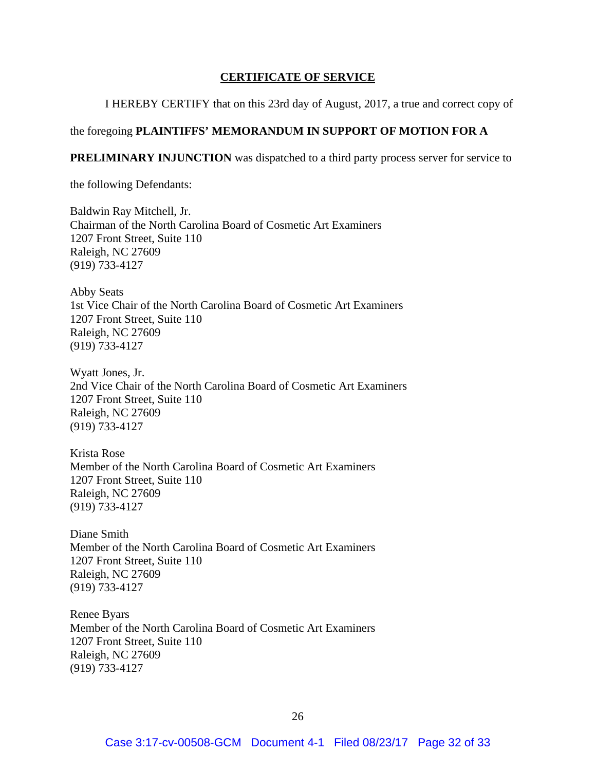## **CERTIFICATE OF SERVICE**

I HEREBY CERTIFY that on this 23rd day of August, 2017, a true and correct copy of

## the foregoing **PLAINTIFFS' MEMORANDUM IN SUPPORT OF MOTION FOR A**

**PRELIMINARY INJUNCTION** was dispatched to a third party process server for service to

the following Defendants:

Baldwin Ray Mitchell, Jr. Chairman of the North Carolina Board of Cosmetic Art Examiners 1207 Front Street, Suite 110 Raleigh, NC 27609 (919) 733-4127

Abby Seats 1st Vice Chair of the North Carolina Board of Cosmetic Art Examiners 1207 Front Street, Suite 110 Raleigh, NC 27609 (919) 733-4127

Wyatt Jones, Jr. 2nd Vice Chair of the North Carolina Board of Cosmetic Art Examiners 1207 Front Street, Suite 110 Raleigh, NC 27609 (919) 733-4127

Krista Rose Member of the North Carolina Board of Cosmetic Art Examiners 1207 Front Street, Suite 110 Raleigh, NC 27609 (919) 733-4127

Diane Smith Member of the North Carolina Board of Cosmetic Art Examiners 1207 Front Street, Suite 110 Raleigh, NC 27609 (919) 733-4127

Renee Byars Member of the North Carolina Board of Cosmetic Art Examiners 1207 Front Street, Suite 110 Raleigh, NC 27609 (919) 733-4127